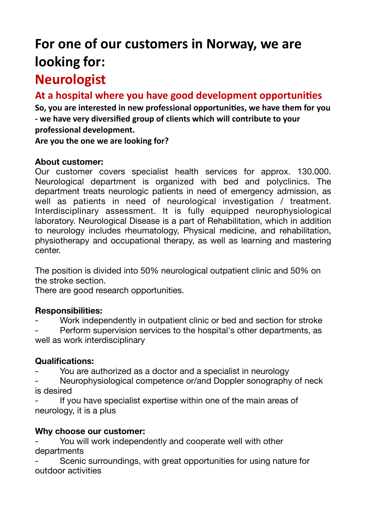# For one of our customers in Norway, we are looking for:

## **Neurologist**

### At a hospital where you have good development opportunities

So, you are interested in new professional opportunities, we have them for you - we have very diversified group of clients which will contribute to your **professional development.**

Are you the one we are looking for?

#### **About customer:**

Our customer covers specialist health services for approx. 130.000. Neurological department is organized with bed and polyclinics. The department treats neurologic patients in need of emergency admission, as well as patients in need of neurological investigation / treatment. Interdisciplinary assessment. It is fully equipped neurophysiological laboratory. Neurological Disease is a part of Rehabilitation, which in addition to neurology includes rheumatology, Physical medicine, and rehabilitation, physiotherapy and occupational therapy, as well as learning and mastering center.

The position is divided into 50% neurological outpatient clinic and 50% on the stroke section.

There are good research opportunities.

#### **Responsibilities:**

Work independently in outpatient clinic or bed and section for stroke

Perform supervision services to the hospital's other departments, as well as work interdisciplinary

#### **Qualifications:**

You are authorized as a doctor and a specialist in neurology

Neurophysiological competence or/and Doppler sonography of neck is desired

If you have specialist expertise within one of the main areas of neurology, it is a plus

#### **Why choose our customer:**

You will work independently and cooperate well with other departments

Scenic surroundings, with great opportunities for using nature for outdoor activities